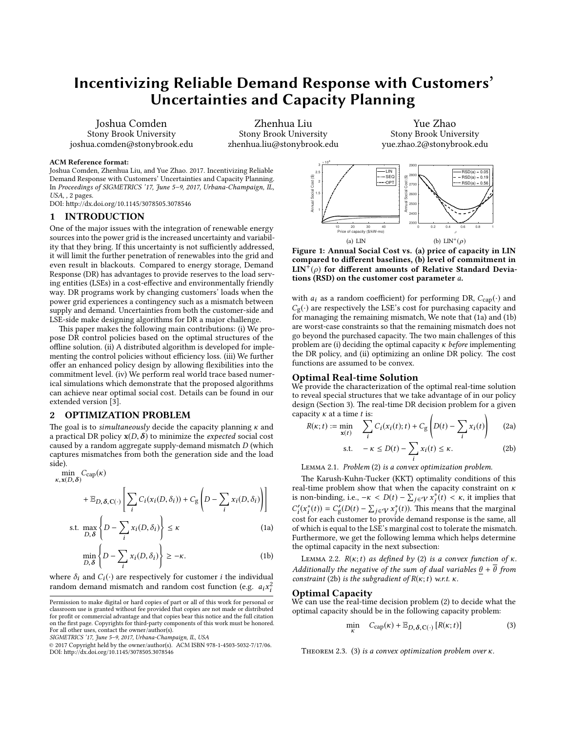# Incentivizing Reliable Demand Response with Customers' Uncertainties and Capacity Planning

Joshua Comden Stony Brook University joshua.comden@stonybrook.edu

Zhenhua Liu Stony Brook University zhenhua.liu@stonybrook.edu

<span id="page-0-8"></span>Yue Zhao Stony Brook University yue.zhao.2@stonybrook.edu

#### ACM Reference format:

Joshua Comden, Zhenhua Liu, and Yue Zhao. 2017. Incentivizing Reliable Demand Response with Customers' Uncertainties and Capacity Planning. In Proceedings of SIGMETRICS '17, June 5–9, 2017, Urbana-Champaign, IL, USA, , [2](#page-1-0) pages.

DOI: http://dx.doi.org/10.1145/3078505.3078546

# 1 INTRODUCTION

One of the major issues with the integration of renewable energy sources into the power grid is the increased uncertainty and variability that they bring. If this uncertainty is not sufficiently addressed, it will limit the further penetration of renewables into the grid and even result in blackouts. Compared to energy storage, Demand Response (DR) has advantages to provide reserves to the load serving entities (LSEs) in a cost-effective and environmentally friendly way. DR programs work by changing customers' loads when the power grid experiences a contingency such as a mismatch between supply and demand. Uncertainties from both the customer-side and LSE-side make designing algorithms for DR a major challenge.

This paper makes the following main contributions: (i) We propose DR control policies based on the optimal structures of the offline solution. (ii) A distributed algorithm is developed for implementing the control policies without efficiency loss. (iii) We further offer an enhanced policy design by allowing flexibilities into the commitment level. (iv) We perform real world trace based numerical simulations which demonstrate that the proposed algorithms can achieve near optimal social cost. Details can be found in our extended version [\[3\]](#page-1-1).

# 2 OPTIMIZATION PROBLEM

The goal is to *simultaneously* decide the capacity planning  $\kappa$  and a practical DR policy  $x(D, \delta)$  to minimize the *expected* social cost caused by a random aggregate supply-demand mismatch D (which captures mismatches from both the generation side and the load side).

<span id="page-0-6"></span>
$$
\min_{\kappa, \mathbf{x}(D, \delta)} C_{\text{cap}}(\kappa)
$$
\n
$$
+ \mathbb{E}_{D, \delta, C(\cdot)} \left[ \sum_{i} C_{i}(x_{i}(D, \delta_{i})) + C_{g} \left( D - \sum_{i} x_{i}(D, \delta_{i}) \right) \right]
$$
\n
$$
\text{s.t. } \max_{D, \delta} \left\{ D - \sum_{i} x_{i}(D, \delta_{i}) \right\} \le \kappa
$$
\n(1a)

$$
D, \delta \left\{ D - \sum_{i} x_i(D, \delta_i) \right\} \ge -\kappa.
$$
 (1b)

where  $\delta_i$  and  $C_i(\cdot)$  are respectively for customer *i* the individual random demand mismatch and random cost function (e.g.  $a_i x_i^2$ i

SIGMETRICS '17, June 5–9, 2017, Urbana-Champaign, IL, USA

i

<span id="page-0-7"></span>

Figure 1: Annual Social Cost vs. (a) price of capacity in LIN compared to different baselines, (b) level of commitment in  $LIN^{+}(\rho)$  for different amounts of Relative Standard Deviations (RSD) on the customer cost parameter a.

with  $a_i$  as a random coefficient) for performing DR,  $C_{cap}(\cdot)$  and  $C_{\mathrm{g}}(\cdot)$  are respectively the LSE's cost for purchasing capacity and for managing the remaining mismatch, We note that [\(1a\)](#page-0-0) and [\(1b\)](#page-0-1) are worst-case constraints so that the remaining mismatch does not go beyond the purchased capacity. The two main challenges of this problem are (i) deciding the optimal capacity  $\kappa$  before implementing the DR policy, and (ii) optimizing an online DR policy. The cost functions are assumed to be convex.

### Optimal Real-time Solution

We provide the characterization of the optimal real-time solution to reveal special structures that we take advantage of in our policy design (Section [3\)](#page-1-2). The real-time DR decision problem for a given capacity  $\kappa$  at a time  $t$  is: Í !

$$
R(\kappa; t) := \min_{\mathbf{x}(t)} \quad \sum_{i} C_i(x_i(t); t) + C_g \left( D(t) - \sum_{i} x_i(t) \right) \tag{2a}
$$

<span id="page-0-3"></span><span id="page-0-2"></span>
$$
\text{s.t.} \quad -\kappa \le D(t) - \sum_{i} x_i(t) \le \kappa. \tag{2b}
$$

i Lemma 2.1. Problem [\(2\)](#page-0-2) is a convex optimization problem.

The Karush-Kuhn-Tucker (KKT) optimality conditions of this real-time problem show that when the capacity constraint on  $\kappa$ is non-binding, i.e.,  $-\kappa < D(t) - \sum_{j \in \mathcal{V}} x_j^*(t) < \kappa$ , it implies that  $C'(x^*(t)) = C'(D(t))$ .  $\Sigma$   $x^*(t)$ . This means that the meaningle  $C_i'(x_i^*(t)) = C_g'(D(t) - \sum_{j \in \mathcal{V}} x_j^*(t)).$  This means that the marginal cost for each customer to provide demand response is the same, all of which is equal to the LSE's marginal cost to tolerate the mismatch. Furthermore, we get the following lemma which helps determine the optimal capacity in the next subsection:

<span id="page-0-5"></span><span id="page-0-1"></span><span id="page-0-0"></span>LEMMA 2.2.  $R(\kappa; t)$  as defined by [\(2\)](#page-0-2) is a convex function of  $\kappa$ . Additionally the negative of the sum of dual variables  $\theta + \overline{\theta}$  from constraint [\(2b\)](#page-0-3) is the subgradient of  $R(\kappa;t)$  w.r.t.  $\kappa$ .

#### Optimal Capacity

min

We can use the real-time decision problem [\(2\)](#page-0-2) to decide what the optimal capacity should be in the following capacity problem:

<span id="page-0-4"></span>
$$
\min_{\kappa} C_{\text{cap}}(\kappa) + \mathbb{E}_{D,\delta,\mathbf{C}(\cdot)} [R(\kappa; t)] \tag{3}
$$

THEOREM 2.3. [\(3\)](#page-0-4) is a convex optimization problem over  $\kappa$ .

Permission to make digital or hard copies of part or all of this work for personal or classroom use is granted without fee provided that copies are not made or distributed for profit or commercial advantage and that copies bear this notice and the full citation on the first page. Copyrights for third-party components of this work must be honored. For all other uses, contact the owner/author(s).

<sup>©</sup> 2017 Copyright held by the owner/author(s). ACM ISBN 978-1-4503-5032-7/17/06. DOI: http://dx.doi.org/10.1145/3078505.3078546